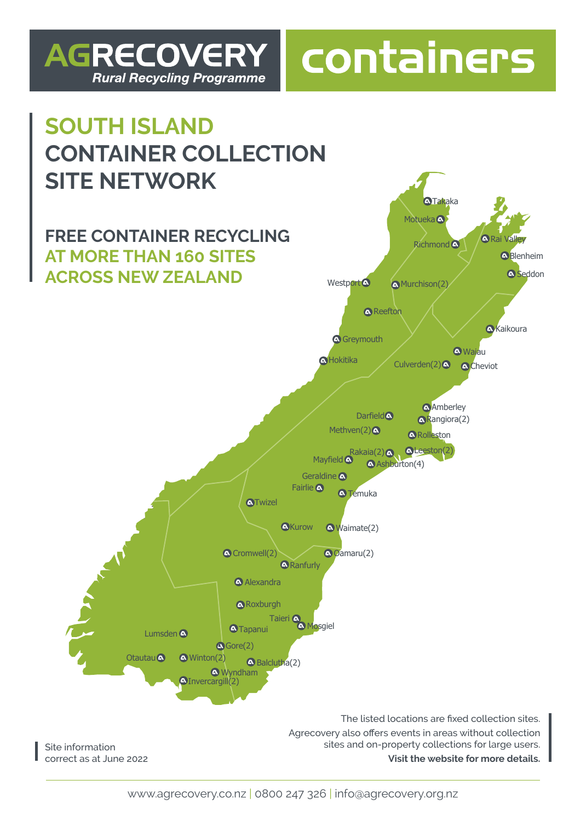## **AGRECOVERY Rural Recycling Programme**

## containers

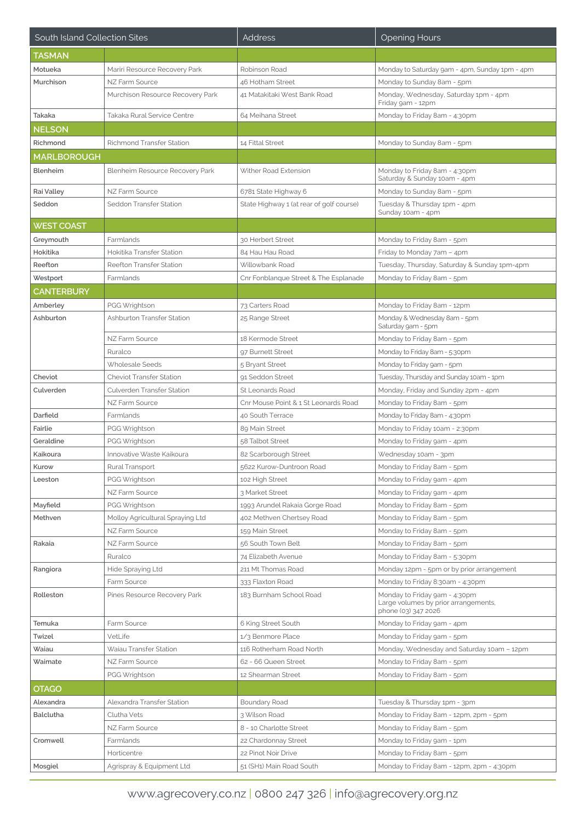| South Island Collection Sites |                                  | <b>Address</b>                           | <b>Opening Hours</b>                                                                         |
|-------------------------------|----------------------------------|------------------------------------------|----------------------------------------------------------------------------------------------|
| TASMAN                        |                                  |                                          |                                                                                              |
| Motueka                       | Mariri Resource Recovery Park    | Robinson Road                            | Monday to Saturday 9am - 4pm, Sunday 1pm - 4pm                                               |
| Murchison                     | NZ Farm Source                   | 46 Hotham Street                         | Monday to Sunday 8am - 5pm                                                                   |
|                               | Murchison Resource Recovery Park | 41 Matakitaki West Bank Road             | Monday, Wednesday, Saturday 1pm - 4pm<br>Friday 9am - 12pm                                   |
| Takaka                        | Takaka Rural Service Centre      | 64 Meihana Street                        | Monday to Friday 8am - 4:30pm                                                                |
| NELSON                        |                                  |                                          |                                                                                              |
| Richmond                      | <b>Richmond Transfer Station</b> | 14 Fittal Street                         | Monday to Sunday 8am - 5pm                                                                   |
| <b>MARLBOROUGH</b>            |                                  |                                          |                                                                                              |
| Blenheim                      | Blenheim Resource Recovery Park  | Wither Road Extension                    | Monday to Friday 8am - 4:30pm<br>Saturday & Sunday 10am - 4pm                                |
| Rai Valley                    | NZ Farm Source                   | 6781 State Highway 6                     | Monday to Sunday 8am - 5pm                                                                   |
| Seddon                        | Seddon Transfer Station          | State Highway 1 (at rear of golf course) | Tuesday & Thursday 1pm - 4pm<br>Sunday 10am - 4pm                                            |
| <b>WEST COAST</b>             |                                  |                                          |                                                                                              |
| Greymouth                     | Farmlands                        | 30 Herbert Street                        | Monday to Friday 8am - 5pm                                                                   |
| Hokitika                      | Hokitika Transfer Station        | 84 Hau Hau Road                          | Friday to Monday 7am - 4pm                                                                   |
| Reefton                       | Reefton Transfer Station         | Willowbank Road                          | Tuesday, Thursday, Saturday & Sunday 1pm-4pm                                                 |
| Westport                      | Farmlands                        | Cnr Fonblanque Street & The Esplanade    | Monday to Friday 8am - 5pm                                                                   |
| <b>CANTERBURY</b>             |                                  |                                          |                                                                                              |
| Amberley                      | PGG Wrightson                    | 73 Carters Road                          | Monday to Friday 8am - 12pm                                                                  |
| Ashburton                     | Ashburton Transfer Station       | 25 Range Street                          | Monday & Wednesday 8am - 5pm<br>Saturday 9am - 5pm                                           |
|                               | NZ Farm Source                   | 18 Kermode Street                        | Monday to Friday 8am - 5pm                                                                   |
|                               | Ruralco                          | 97 Burnett Street                        | Monday to Friday 8am - 5:30pm                                                                |
|                               | Wholesale Seeds                  | 5 Bryant Street                          | Monday to Friday 9am - 5pm                                                                   |
| Cheviot                       | Cheviot Transfer Station         | 91 Seddon Street                         | Tuesday, Thursday and Sunday 10am - 1pm                                                      |
| Culverden                     | Culverden Transfer Station       | St Leonards Road                         | Monday, Friday and Sunday 2pm - 4pm                                                          |
|                               | NZ Farm Source                   | Cnr Mouse Point & 1 St Leonards Road     | Monday to Friday 8am - 5pm                                                                   |
| Darfield                      | Farmlands                        | 40 South Terrace                         | Monday to Friday 8am - 4:30pm                                                                |
| Fairlie                       | PGG Wrightson                    | 89 Main Street                           | Monday to Friday 10am - 2:30pm                                                               |
| Geraldine                     | PGG Wrightson                    | 58 Talbot Street                         | Monday to Friday 9am - 4pm                                                                   |
| Kaikoura                      | Innovative Waste Kaikoura        | 82 Scarborough Street                    | Wednesday 10am - 3pm                                                                         |
| Kurow                         | Rural Transport                  | 5622 Kurow-Duntroon Road                 | Monday to Friday 8am - 5pm                                                                   |
| Leeston                       | PGG Wrightson                    | 102 High Street                          | Monday to Friday 9am - 4pm                                                                   |
|                               | NZ Farm Source                   | 3 Market Street                          | Monday to Friday 9am - 4pm                                                                   |
| Mayfield                      | PGG Wrightson                    | 1993 Arundel Rakaia Gorge Road           | Monday to Friday 8am - 5pm                                                                   |
| Methven                       | Molloy Agricultural Spraying Ltd | 402 Methven Chertsey Road                | Monday to Friday 8am - 5pm                                                                   |
|                               | NZ Farm Source                   | 159 Main Street                          | Monday to Friday 8am - 5pm                                                                   |
| Rakaia                        | NZ Farm Source                   | 56 South Town Belt                       | Monday to Friday 8am - 5pm                                                                   |
|                               | Ruralco                          | 74 Elizabeth Avenue                      | Monday to Friday 8am - 5:30pm                                                                |
| Rangiora                      | Hide Spraying Ltd                | 211 Mt Thomas Road                       | Monday 12pm - 5pm or by prior arrangement                                                    |
|                               | Farm Source                      | 333 Flaxton Road                         | Monday to Friday 8:30am - 4:30pm                                                             |
| Rolleston                     | Pines Resource Recovery Park     | 183 Burnham School Road                  | Monday to Friday 9am - 4:30pm<br>Large volumes by prior arrangements,<br>phone (03) 347 2026 |
| Temuka                        | Farm Source                      | 6 King Street South                      | Monday to Friday 9am - 4pm                                                                   |
| Twizel                        | VetLife                          | 1/3 Benmore Place                        | Monday to Friday 9am - 5pm                                                                   |
| Waiau                         | Waiau Transfer Station           | 116 Rotherham Road North                 | Monday, Wednesday and Saturday 10am - 12pm                                                   |
| Waimate                       | NZ Farm Source                   | 62 - 66 Queen Street                     | Monday to Friday 8am - 5pm                                                                   |
|                               | PGG Wrightson                    | 12 Shearman Street                       | Monday to Friday 8am - 5pm                                                                   |
| <b>OTAGO</b>                  |                                  |                                          |                                                                                              |
| Alexandra                     | Alexandra Transfer Station       | Boundary Road                            | Tuesday & Thursday 1pm - 3pm                                                                 |
| <b>Balclutha</b>              | Clutha Vets                      | 3 Wilson Road                            | Monday to Friday 8am - 12pm, 2pm - 5pm                                                       |
|                               | NZ Farm Source                   | 8 - 10 Charlotte Street                  | Monday to Friday 8am - 5pm                                                                   |
| Cromwell                      | Farmlands                        | 22 Chardonnay Street                     | Monday to Friday 9am - 1pm                                                                   |
|                               | Horticentre                      | 22 Pinot Noir Drive                      | Monday to Friday 8am - 5pm                                                                   |
| Mosgiel                       | Agrispray & Equipment Ltd        | 51 (SH1) Main Road South                 | Monday to Friday 8am - 12pm, 2pm - 4:30pm                                                    |
|                               |                                  |                                          |                                                                                              |